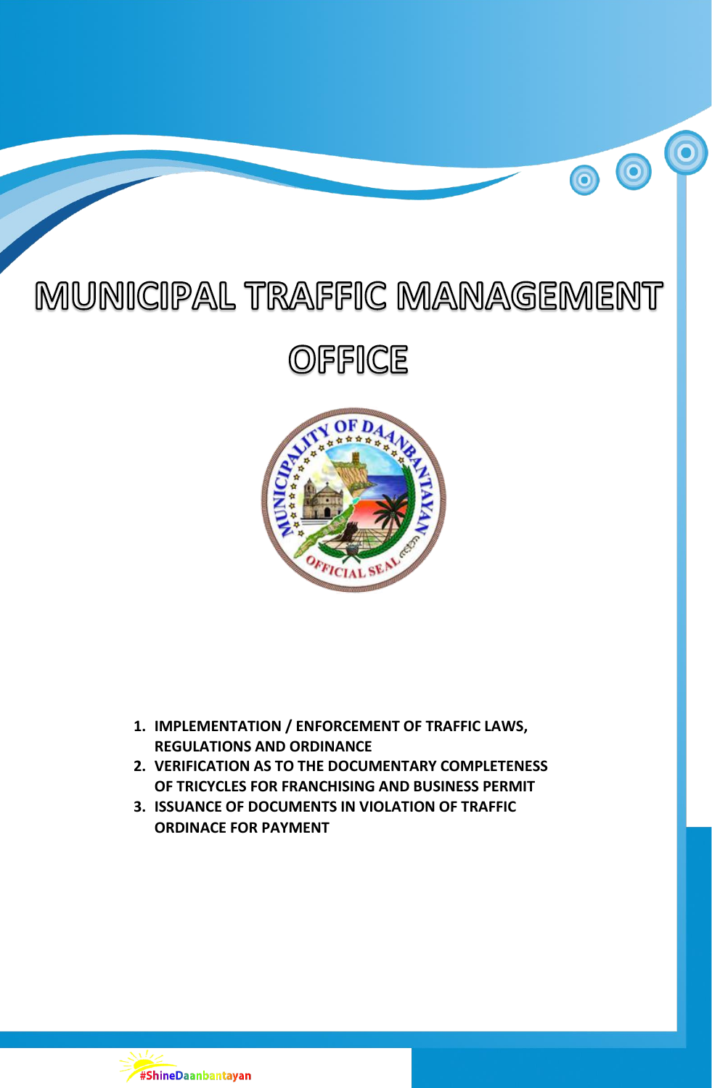# MUNICIPAL TRAFFIC MANAGEMENT

 $\bigcirc$ 

 $\bigcirc$ 

## **OFFICE**



- **1. IMPLEMENTATION / ENFORCEMENT OF TRAFFIC LAWS, REGULATIONS AND ORDINANCE**
- **2. VERIFICATION AS TO THE DOCUMENTARY COMPLETENESS OF TRICYCLES FOR FRANCHISING AND BUSINESS PERMIT**
- **3. ISSUANCE OF DOCUMENTS IN VIOLATION OF TRAFFIC ORDINACE FOR PAYMENT**

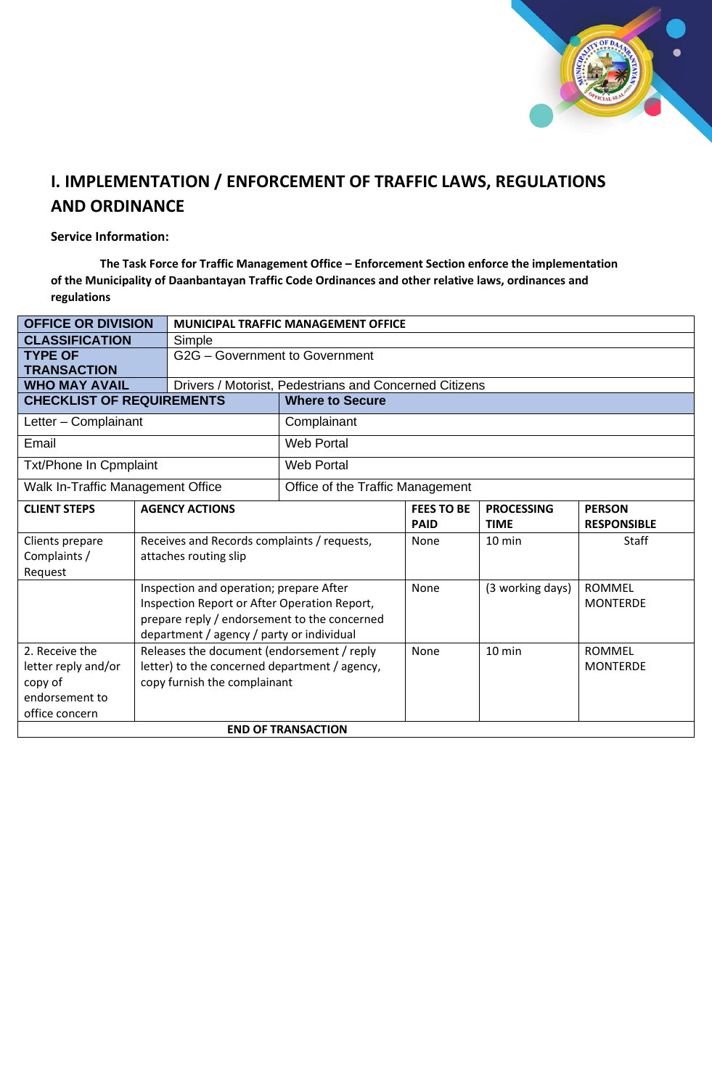

## **I. IMPLEMENTATION / ENFORCEMENT OF TRAFFIC LAWS, REGULATIONS AND ORDINANCE**

#### **Service Information:**

 **The Task Force for Traffic Management Office – Enforcement Section enforce the implementation of the Municipality of Daanbantayan Traffic Code Ordinances and other relative laws, ordinances and regulations**

| <b>OFFICE OR DIVISION</b>         |                                               | <b>MUNICIPAL TRAFFIC MANAGEMENT OFFICE</b>   |                                  |                                                        |                                  |                                     |  |  |  |
|-----------------------------------|-----------------------------------------------|----------------------------------------------|----------------------------------|--------------------------------------------------------|----------------------------------|-------------------------------------|--|--|--|
| <b>CLASSIFICATION</b>             |                                               | Simple                                       |                                  |                                                        |                                  |                                     |  |  |  |
| <b>TYPE OF</b>                    |                                               | G2G - Government to Government               |                                  |                                                        |                                  |                                     |  |  |  |
| <b>TRANSACTION</b>                |                                               |                                              |                                  |                                                        |                                  |                                     |  |  |  |
|                                   | <b>WHO MAY AVAIL</b>                          |                                              |                                  | Drivers / Motorist, Pedestrians and Concerned Citizens |                                  |                                     |  |  |  |
| <b>CHECKLIST OF REQUIREMENTS</b>  |                                               | <b>Where to Secure</b>                       |                                  |                                                        |                                  |                                     |  |  |  |
| Letter - Complainant              |                                               |                                              | Complainant                      |                                                        |                                  |                                     |  |  |  |
| Email                             |                                               |                                              | <b>Web Portal</b>                |                                                        |                                  |                                     |  |  |  |
| Txt/Phone In Cpmplaint            |                                               |                                              | <b>Web Portal</b>                |                                                        |                                  |                                     |  |  |  |
| Walk In-Traffic Management Office |                                               |                                              | Office of the Traffic Management |                                                        |                                  |                                     |  |  |  |
| <b>CLIENT STEPS</b>               |                                               | <b>AGENCY ACTIONS</b>                        |                                  | <b>FEES TO BE</b><br><b>PAID</b>                       | <b>PROCESSING</b><br><b>TIME</b> | <b>PERSON</b><br><b>RESPONSIBLE</b> |  |  |  |
| Clients prepare                   |                                               | Receives and Records complaints / requests,  |                                  | None                                                   | 10 min                           | <b>Staff</b>                        |  |  |  |
| Complaints /                      | attaches routing slip                         |                                              |                                  |                                                        |                                  |                                     |  |  |  |
| Request                           |                                               |                                              |                                  |                                                        |                                  |                                     |  |  |  |
|                                   |                                               | Inspection and operation; prepare After      |                                  | None                                                   | (3 working days)                 | <b>ROMMEL</b>                       |  |  |  |
|                                   |                                               | Inspection Report or After Operation Report, |                                  |                                                        |                                  | <b>MONTERDE</b>                     |  |  |  |
|                                   |                                               | prepare reply / endorsement to the concerned |                                  |                                                        |                                  |                                     |  |  |  |
|                                   |                                               | department / agency / party or individual    |                                  |                                                        |                                  |                                     |  |  |  |
| 2. Receive the                    |                                               | Releases the document (endorsement / reply   | None                             | 10 min                                                 | <b>ROMMEL</b>                    |                                     |  |  |  |
| letter reply and/or               | letter) to the concerned department / agency, |                                              |                                  |                                                        |                                  | <b>MONTERDE</b>                     |  |  |  |
| copy of                           |                                               | copy furnish the complainant                 |                                  |                                                        |                                  |                                     |  |  |  |
| endorsement to                    |                                               |                                              |                                  |                                                        |                                  |                                     |  |  |  |
| office concern                    |                                               |                                              |                                  |                                                        |                                  |                                     |  |  |  |
| <b>END OF TRANSACTION</b>         |                                               |                                              |                                  |                                                        |                                  |                                     |  |  |  |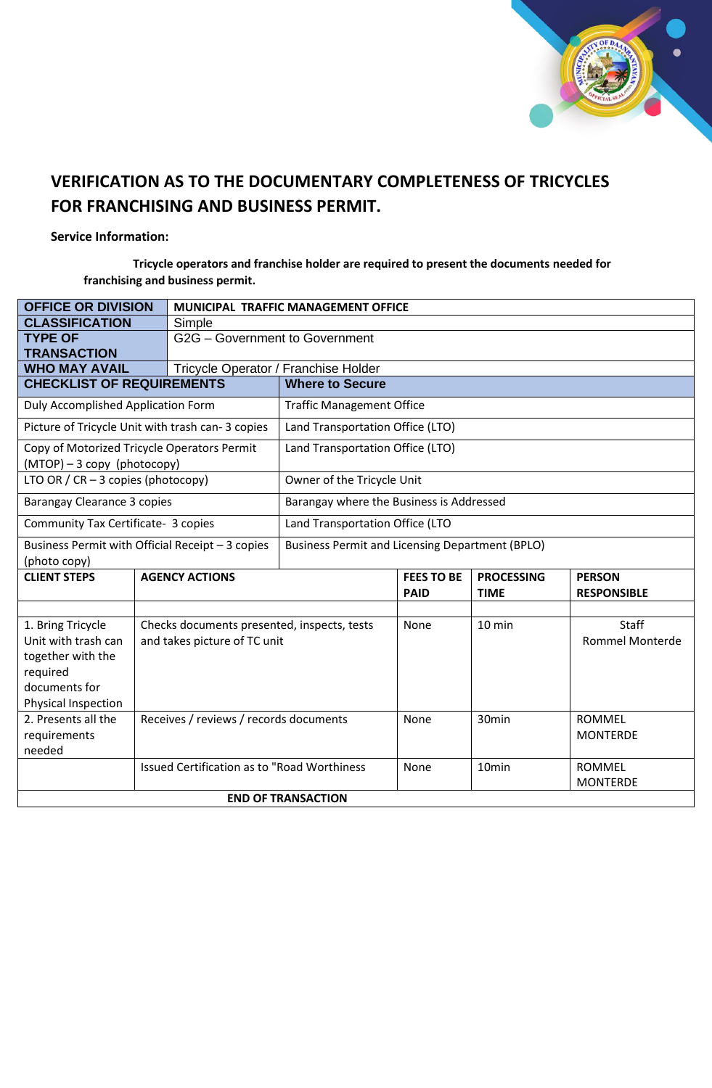

### **VERIFICATION AS TO THE DOCUMENTARY COMPLETENESS OF TRICYCLES FOR FRANCHISING AND BUSINESS PERMIT.**

#### **Service Information:**

 **Tricycle operators and franchise holder are required to present the documents needed for franchising and business permit.**

| <b>OFFICE OR DIVISION</b>                                                  |                                        | MUNICIPAL TRAFFIC MANAGEMENT OFFICE                |                                                        |                   |                   |                        |  |  |
|----------------------------------------------------------------------------|----------------------------------------|----------------------------------------------------|--------------------------------------------------------|-------------------|-------------------|------------------------|--|--|
| <b>CLASSIFICATION</b>                                                      |                                        | Simple                                             |                                                        |                   |                   |                        |  |  |
| <b>TYPE OF</b><br><b>TRANSACTION</b>                                       |                                        | G2G - Government to Government                     |                                                        |                   |                   |                        |  |  |
| <b>WHO MAY AVAIL</b>                                                       |                                        | Tricycle Operator / Franchise Holder               |                                                        |                   |                   |                        |  |  |
| <b>CHECKLIST OF REQUIREMENTS</b>                                           |                                        |                                                    | <b>Where to Secure</b>                                 |                   |                   |                        |  |  |
| Duly Accomplished Application Form                                         |                                        |                                                    | <b>Traffic Management Office</b>                       |                   |                   |                        |  |  |
| Picture of Tricycle Unit with trash can-3 copies                           |                                        |                                                    | Land Transportation Office (LTO)                       |                   |                   |                        |  |  |
| Copy of Motorized Tricycle Operators Permit<br>(MTOP) - 3 copy (photocopy) |                                        |                                                    | Land Transportation Office (LTO)                       |                   |                   |                        |  |  |
| LTO OR / $CR - 3$ copies (photocopy)                                       |                                        |                                                    | Owner of the Tricycle Unit                             |                   |                   |                        |  |  |
| Barangay Clearance 3 copies                                                |                                        |                                                    | Barangay where the Business is Addressed               |                   |                   |                        |  |  |
| Community Tax Certificate- 3 copies                                        |                                        |                                                    | Land Transportation Office (LTO                        |                   |                   |                        |  |  |
| Business Permit with Official Receipt - 3 copies                           |                                        |                                                    | <b>Business Permit and Licensing Department (BPLO)</b> |                   |                   |                        |  |  |
| (photo copy)                                                               |                                        |                                                    |                                                        |                   |                   |                        |  |  |
| <b>CLIENT STEPS</b>                                                        | <b>AGENCY ACTIONS</b>                  |                                                    |                                                        | <b>FEES TO BE</b> | <b>PROCESSING</b> | <b>PERSON</b>          |  |  |
|                                                                            |                                        |                                                    |                                                        | <b>PAID</b>       | <b>TIME</b>       | <b>RESPONSIBLE</b>     |  |  |
|                                                                            |                                        |                                                    |                                                        |                   |                   |                        |  |  |
| 1. Bring Tricycle                                                          |                                        | Checks documents presented, inspects, tests        |                                                        | None              | 10 min            | Staff                  |  |  |
| Unit with trash can                                                        | and takes picture of TC unit           |                                                    |                                                        |                   |                   | <b>Rommel Monterde</b> |  |  |
| together with the                                                          |                                        |                                                    |                                                        |                   |                   |                        |  |  |
| required                                                                   |                                        |                                                    |                                                        |                   |                   |                        |  |  |
| documents for                                                              |                                        |                                                    |                                                        |                   |                   |                        |  |  |
| Physical Inspection                                                        |                                        |                                                    |                                                        |                   |                   |                        |  |  |
| 2. Presents all the                                                        | Receives / reviews / records documents |                                                    |                                                        | None              | 30min             | <b>ROMMEL</b>          |  |  |
| requirements                                                               |                                        |                                                    |                                                        |                   |                   | <b>MONTERDE</b>        |  |  |
| needed                                                                     |                                        |                                                    |                                                        |                   |                   |                        |  |  |
|                                                                            |                                        | <b>Issued Certification as to "Road Worthiness</b> |                                                        | None              | 10min             | <b>ROMMEL</b>          |  |  |
|                                                                            |                                        |                                                    |                                                        |                   |                   | <b>MONTERDE</b>        |  |  |
| <b>END OF TRANSACTION</b>                                                  |                                        |                                                    |                                                        |                   |                   |                        |  |  |